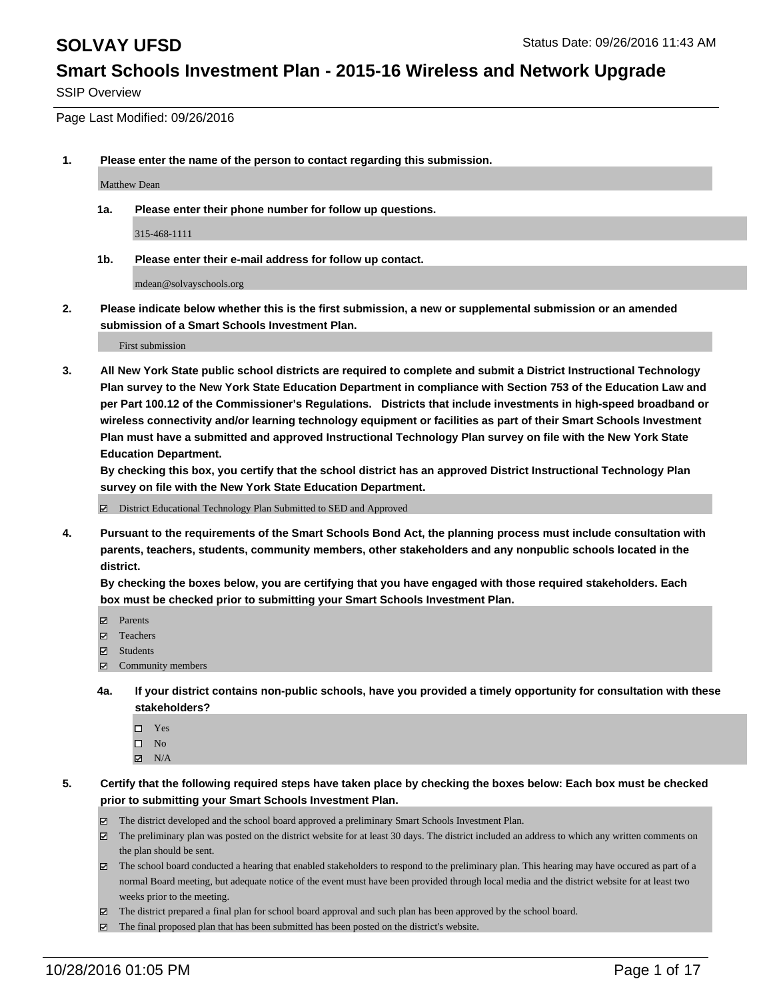SSIP Overview

Page Last Modified: 09/26/2016

**1. Please enter the name of the person to contact regarding this submission.**

Matthew Dean

**1a. Please enter their phone number for follow up questions.**

315-468-1111

**1b. Please enter their e-mail address for follow up contact.**

mdean@solvayschools.org

**2. Please indicate below whether this is the first submission, a new or supplemental submission or an amended submission of a Smart Schools Investment Plan.**

First submission

**3. All New York State public school districts are required to complete and submit a District Instructional Technology Plan survey to the New York State Education Department in compliance with Section 753 of the Education Law and per Part 100.12 of the Commissioner's Regulations. Districts that include investments in high-speed broadband or wireless connectivity and/or learning technology equipment or facilities as part of their Smart Schools Investment Plan must have a submitted and approved Instructional Technology Plan survey on file with the New York State Education Department.** 

**By checking this box, you certify that the school district has an approved District Instructional Technology Plan survey on file with the New York State Education Department.**

District Educational Technology Plan Submitted to SED and Approved

**4. Pursuant to the requirements of the Smart Schools Bond Act, the planning process must include consultation with parents, teachers, students, community members, other stakeholders and any nonpublic schools located in the district.** 

**By checking the boxes below, you are certifying that you have engaged with those required stakeholders. Each box must be checked prior to submitting your Smart Schools Investment Plan.**

- Parents
- Teachers
- $\boxtimes$  Students
- $\boxtimes$  Community members
- **4a. If your district contains non-public schools, have you provided a timely opportunity for consultation with these stakeholders?**
	- $\Box$  Yes  $\square$  No
	- $\boxtimes$  N/A
- **5. Certify that the following required steps have taken place by checking the boxes below: Each box must be checked prior to submitting your Smart Schools Investment Plan.**
	- The district developed and the school board approved a preliminary Smart Schools Investment Plan.
	- The preliminary plan was posted on the district website for at least 30 days. The district included an address to which any written comments on the plan should be sent.
	- The school board conducted a hearing that enabled stakeholders to respond to the preliminary plan. This hearing may have occured as part of a normal Board meeting, but adequate notice of the event must have been provided through local media and the district website for at least two weeks prior to the meeting.
	- The district prepared a final plan for school board approval and such plan has been approved by the school board.
	- $\boxtimes$  The final proposed plan that has been submitted has been posted on the district's website.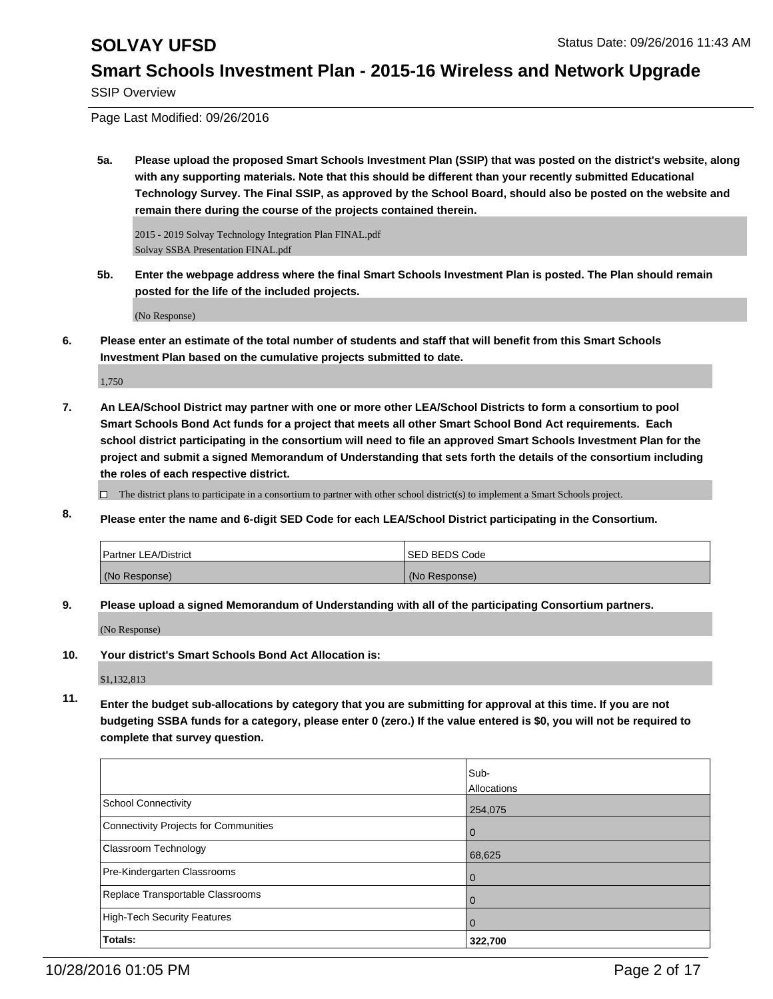SSIP Overview

Page Last Modified: 09/26/2016

**5a. Please upload the proposed Smart Schools Investment Plan (SSIP) that was posted on the district's website, along with any supporting materials. Note that this should be different than your recently submitted Educational Technology Survey. The Final SSIP, as approved by the School Board, should also be posted on the website and remain there during the course of the projects contained therein.**

2015 - 2019 Solvay Technology Integration Plan FINAL.pdf Solvay SSBA Presentation FINAL.pdf

**5b. Enter the webpage address where the final Smart Schools Investment Plan is posted. The Plan should remain posted for the life of the included projects.**

(No Response)

**6. Please enter an estimate of the total number of students and staff that will benefit from this Smart Schools Investment Plan based on the cumulative projects submitted to date.**

1,750

- **7. An LEA/School District may partner with one or more other LEA/School Districts to form a consortium to pool Smart Schools Bond Act funds for a project that meets all other Smart School Bond Act requirements. Each school district participating in the consortium will need to file an approved Smart Schools Investment Plan for the project and submit a signed Memorandum of Understanding that sets forth the details of the consortium including the roles of each respective district.**
	- $\Box$  The district plans to participate in a consortium to partner with other school district(s) to implement a Smart Schools project.
- **8. Please enter the name and 6-digit SED Code for each LEA/School District participating in the Consortium.**

| <b>Partner LEA/District</b> | <b>ISED BEDS Code</b> |
|-----------------------------|-----------------------|
| (No Response)               | (No Response)         |

**9. Please upload a signed Memorandum of Understanding with all of the participating Consortium partners.**

(No Response)

**10. Your district's Smart Schools Bond Act Allocation is:**

\$1,132,813

**11. Enter the budget sub-allocations by category that you are submitting for approval at this time. If you are not budgeting SSBA funds for a category, please enter 0 (zero.) If the value entered is \$0, you will not be required to complete that survey question.**

|                                              | Sub-<br>Allocations |
|----------------------------------------------|---------------------|
| <b>School Connectivity</b>                   | 254,075             |
| <b>Connectivity Projects for Communities</b> | 0                   |
| Classroom Technology                         | 68,625              |
| Pre-Kindergarten Classrooms                  | $\overline{0}$      |
| Replace Transportable Classrooms             |                     |
| <b>High-Tech Security Features</b>           | $\Omega$            |
| Totals:                                      | 322,700             |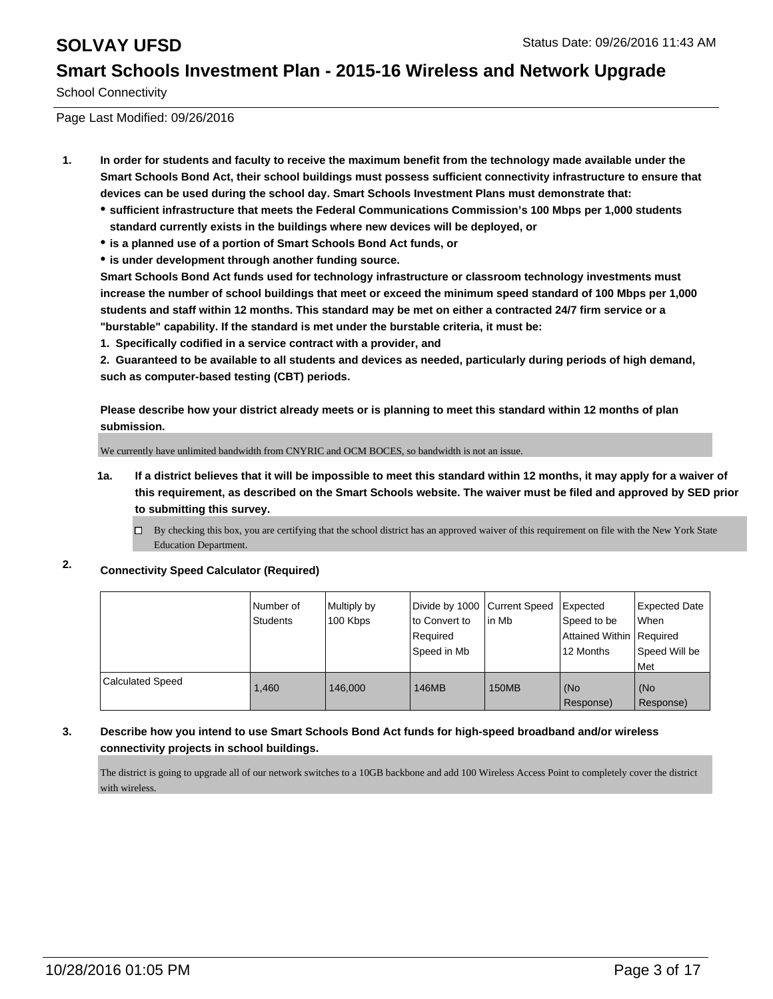School Connectivity

Page Last Modified: 09/26/2016

- **1. In order for students and faculty to receive the maximum benefit from the technology made available under the Smart Schools Bond Act, their school buildings must possess sufficient connectivity infrastructure to ensure that devices can be used during the school day. Smart Schools Investment Plans must demonstrate that:**
	- **sufficient infrastructure that meets the Federal Communications Commission's 100 Mbps per 1,000 students standard currently exists in the buildings where new devices will be deployed, or**
	- **is a planned use of a portion of Smart Schools Bond Act funds, or**
	- **is under development through another funding source.**

**Smart Schools Bond Act funds used for technology infrastructure or classroom technology investments must increase the number of school buildings that meet or exceed the minimum speed standard of 100 Mbps per 1,000 students and staff within 12 months. This standard may be met on either a contracted 24/7 firm service or a "burstable" capability. If the standard is met under the burstable criteria, it must be:**

**1. Specifically codified in a service contract with a provider, and**

**2. Guaranteed to be available to all students and devices as needed, particularly during periods of high demand, such as computer-based testing (CBT) periods.**

**Please describe how your district already meets or is planning to meet this standard within 12 months of plan submission.**

We currently have unlimited bandwidth from CNYRIC and OCM BOCES, so bandwidth is not an issue.

- **1a. If a district believes that it will be impossible to meet this standard within 12 months, it may apply for a waiver of this requirement, as described on the Smart Schools website. The waiver must be filed and approved by SED prior to submitting this survey.**
	- $\Box$  By checking this box, you are certifying that the school district has an approved waiver of this requirement on file with the New York State Education Department.
- **2. Connectivity Speed Calculator (Required)**

|                         | Number of<br><b>Students</b> | Multiply by<br>100 Kbps | Divide by 1000 Current Speed<br>lto Convert to<br>Required<br>Speed in Mb | lin Mb       | Expected<br>Speed to be<br>Attained Within Required<br>12 Months | <b>Expected Date</b><br><b>When</b><br>Speed Will be<br><b>Met</b> |
|-------------------------|------------------------------|-------------------------|---------------------------------------------------------------------------|--------------|------------------------------------------------------------------|--------------------------------------------------------------------|
| <b>Calculated Speed</b> | 1.460                        | 146,000                 | 146MB                                                                     | <b>150MB</b> | (No<br>Response)                                                 | (No<br>Response)                                                   |

### **3. Describe how you intend to use Smart Schools Bond Act funds for high-speed broadband and/or wireless connectivity projects in school buildings.**

The district is going to upgrade all of our network switches to a 10GB backbone and add 100 Wireless Access Point to completely cover the district with wireless.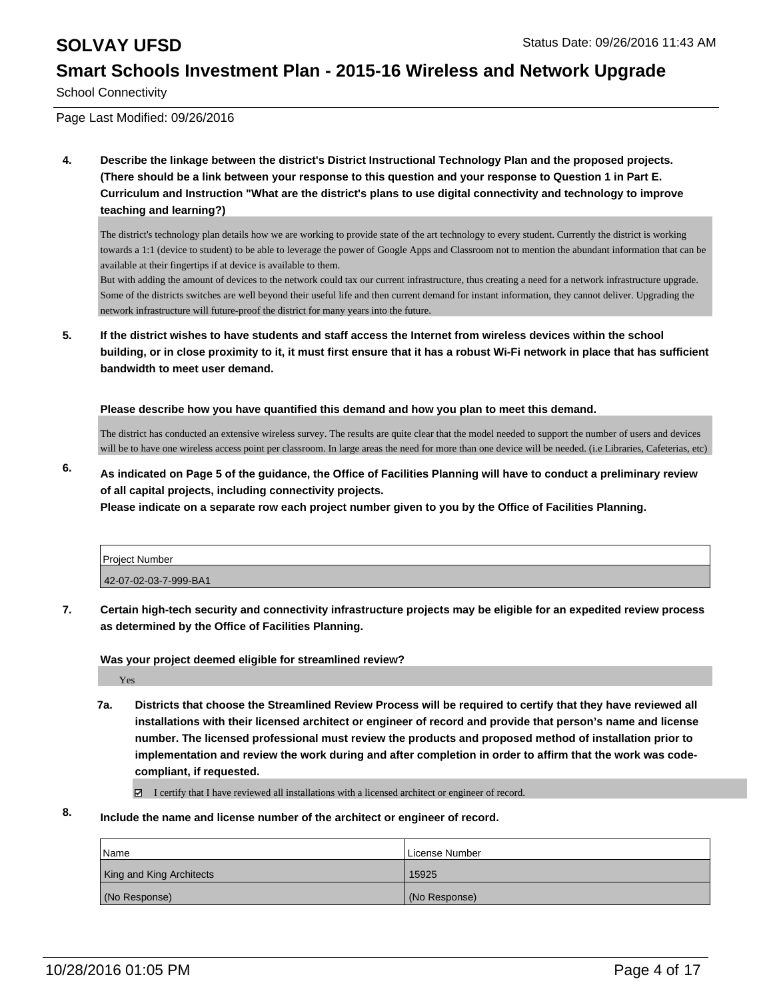School Connectivity

Page Last Modified: 09/26/2016

**4. Describe the linkage between the district's District Instructional Technology Plan and the proposed projects. (There should be a link between your response to this question and your response to Question 1 in Part E. Curriculum and Instruction "What are the district's plans to use digital connectivity and technology to improve teaching and learning?)**

The district's technology plan details how we are working to provide state of the art technology to every student. Currently the district is working towards a 1:1 (device to student) to be able to leverage the power of Google Apps and Classroom not to mention the abundant information that can be available at their fingertips if at device is available to them.

But with adding the amount of devices to the network could tax our current infrastructure, thus creating a need for a network infrastructure upgrade. Some of the districts switches are well beyond their useful life and then current demand for instant information, they cannot deliver. Upgrading the network infrastructure will future-proof the district for many years into the future.

**5. If the district wishes to have students and staff access the Internet from wireless devices within the school building, or in close proximity to it, it must first ensure that it has a robust Wi-Fi network in place that has sufficient bandwidth to meet user demand.**

**Please describe how you have quantified this demand and how you plan to meet this demand.**

The district has conducted an extensive wireless survey. The results are quite clear that the model needed to support the number of users and devices will be to have one wireless access point per classroom. In large areas the need for more than one device will be needed. (i.e Libraries, Cafeterias, etc)

**6. As indicated on Page 5 of the guidance, the Office of Facilities Planning will have to conduct a preliminary review of all capital projects, including connectivity projects.**

**Please indicate on a separate row each project number given to you by the Office of Facilities Planning.**

| Project Number        |  |
|-----------------------|--|
| 42-07-02-03-7-999-BA1 |  |

**7. Certain high-tech security and connectivity infrastructure projects may be eligible for an expedited review process as determined by the Office of Facilities Planning.**

**Was your project deemed eligible for streamlined review?**

Yes

**7a. Districts that choose the Streamlined Review Process will be required to certify that they have reviewed all installations with their licensed architect or engineer of record and provide that person's name and license number. The licensed professional must review the products and proposed method of installation prior to implementation and review the work during and after completion in order to affirm that the work was codecompliant, if requested.**

I certify that I have reviewed all installations with a licensed architect or engineer of record.

### **8. Include the name and license number of the architect or engineer of record.**

| <b>Name</b>                     | License Number |
|---------------------------------|----------------|
| <b>King and King Architects</b> | 15925          |
| (No Response)                   | (No Response)  |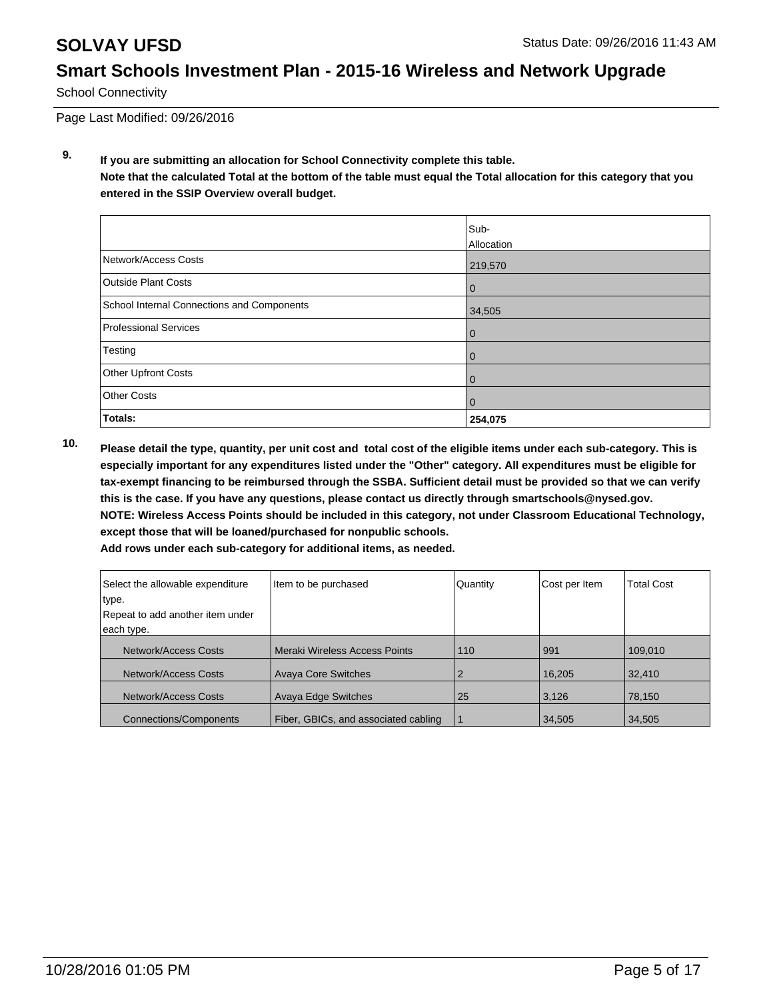School Connectivity

Page Last Modified: 09/26/2016

**9. If you are submitting an allocation for School Connectivity complete this table. Note that the calculated Total at the bottom of the table must equal the Total allocation for this category that you entered in the SSIP Overview overall budget.** 

|                                            | Sub-<br>Allocation |
|--------------------------------------------|--------------------|
| Network/Access Costs                       | 219,570            |
| <b>Outside Plant Costs</b>                 | $\bf{0}$           |
| School Internal Connections and Components | 34,505             |
| Professional Services                      | 0                  |
| Testing                                    | 0                  |
| Other Upfront Costs                        | 0                  |
| <b>Other Costs</b>                         | 0                  |
| Totals:                                    | 254,075            |

**10. Please detail the type, quantity, per unit cost and total cost of the eligible items under each sub-category. This is especially important for any expenditures listed under the "Other" category. All expenditures must be eligible for tax-exempt financing to be reimbursed through the SSBA. Sufficient detail must be provided so that we can verify this is the case. If you have any questions, please contact us directly through smartschools@nysed.gov. NOTE: Wireless Access Points should be included in this category, not under Classroom Educational Technology, except those that will be loaned/purchased for nonpublic schools.**

| Add rows under each sub-category for additional items, as needed. |  |
|-------------------------------------------------------------------|--|
|-------------------------------------------------------------------|--|

| Select the allowable expenditure | Item to be purchased                 | Quantity | Cost per Item | <b>Total Cost</b> |
|----------------------------------|--------------------------------------|----------|---------------|-------------------|
| type.                            |                                      |          |               |                   |
| Repeat to add another item under |                                      |          |               |                   |
| each type.                       |                                      |          |               |                   |
| Network/Access Costs             | Meraki Wireless Access Points        | 110      | 991           | 109,010           |
| Network/Access Costs             | <b>Avaya Core Switches</b>           |          | 16,205        | 32,410            |
| Network/Access Costs             | <b>Avaya Edge Switches</b>           | 25       | 3.126         | 78,150            |
| <b>Connections/Components</b>    | Fiber, GBICs, and associated cabling |          | 34,505        | 34,505            |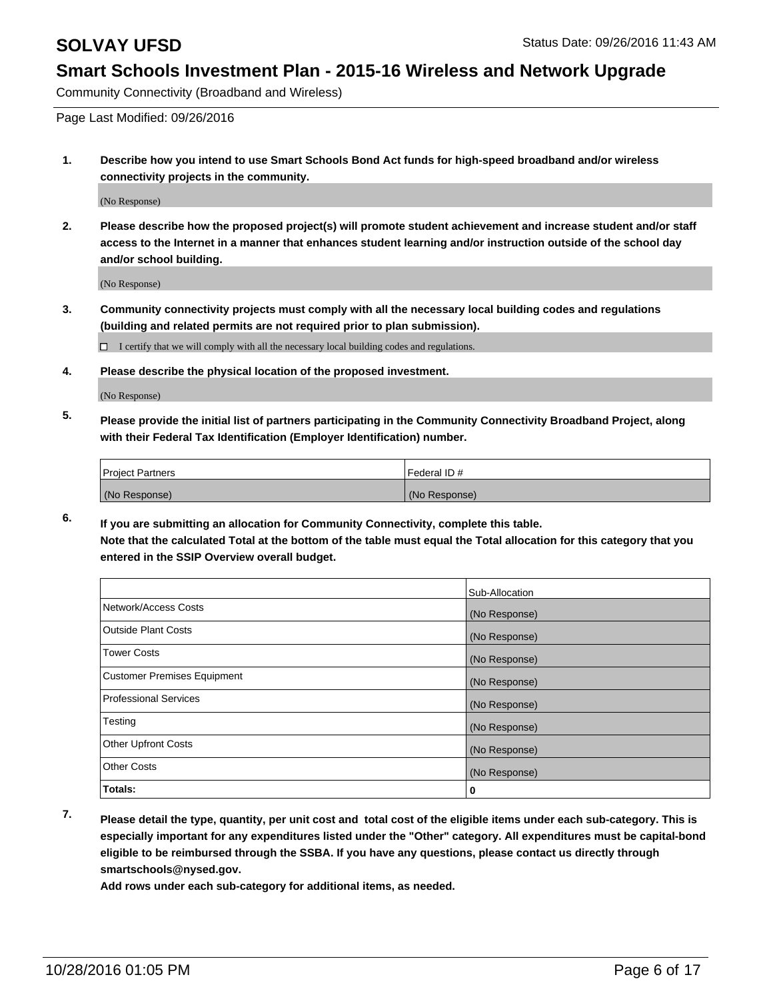Community Connectivity (Broadband and Wireless)

Page Last Modified: 09/26/2016

**1. Describe how you intend to use Smart Schools Bond Act funds for high-speed broadband and/or wireless connectivity projects in the community.**

(No Response)

**2. Please describe how the proposed project(s) will promote student achievement and increase student and/or staff access to the Internet in a manner that enhances student learning and/or instruction outside of the school day and/or school building.**

(No Response)

**3. Community connectivity projects must comply with all the necessary local building codes and regulations (building and related permits are not required prior to plan submission).**

I certify that we will comply with all the necessary local building codes and regulations.

**4. Please describe the physical location of the proposed investment.**

(No Response)

**5. Please provide the initial list of partners participating in the Community Connectivity Broadband Project, along with their Federal Tax Identification (Employer Identification) number.**

| <b>Project Partners</b> | Federal ID#   |
|-------------------------|---------------|
| (No Response)           | (No Response) |

**6. If you are submitting an allocation for Community Connectivity, complete this table. Note that the calculated Total at the bottom of the table must equal the Total allocation for this category that you entered in the SSIP Overview overall budget.**

|                                    | Sub-Allocation |
|------------------------------------|----------------|
| Network/Access Costs               | (No Response)  |
| Outside Plant Costs                | (No Response)  |
| Tower Costs                        | (No Response)  |
| <b>Customer Premises Equipment</b> | (No Response)  |
| Professional Services              | (No Response)  |
| Testing                            | (No Response)  |
| Other Upfront Costs                | (No Response)  |
| Other Costs                        | (No Response)  |
| Totals:                            | 0              |

**7. Please detail the type, quantity, per unit cost and total cost of the eligible items under each sub-category. This is especially important for any expenditures listed under the "Other" category. All expenditures must be capital-bond eligible to be reimbursed through the SSBA. If you have any questions, please contact us directly through smartschools@nysed.gov.**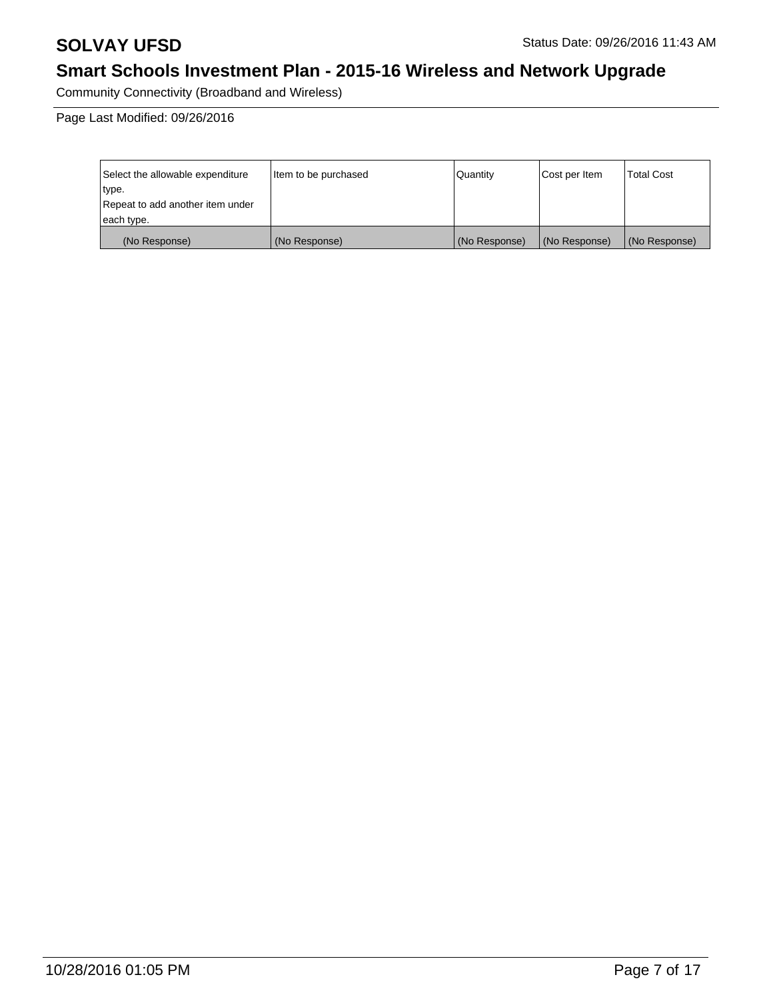Community Connectivity (Broadband and Wireless)

Page Last Modified: 09/26/2016

| Select the allowable expenditure | litem to be purchased | Quantity      | Cost per Item | <b>Total Cost</b> |
|----------------------------------|-----------------------|---------------|---------------|-------------------|
| type.                            |                       |               |               |                   |
| Repeat to add another item under |                       |               |               |                   |
| each type.                       |                       |               |               |                   |
| (No Response)                    | (No Response)         | (No Response) | (No Response) | (No Response)     |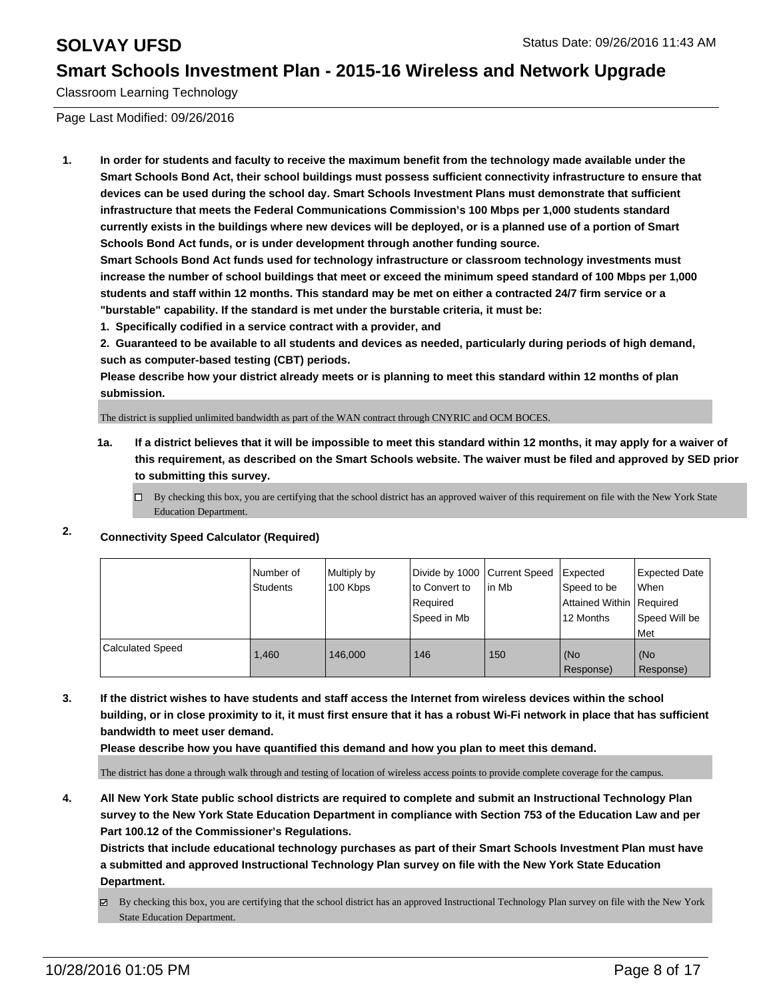Classroom Learning Technology

Page Last Modified: 09/26/2016

**1. In order for students and faculty to receive the maximum benefit from the technology made available under the Smart Schools Bond Act, their school buildings must possess sufficient connectivity infrastructure to ensure that devices can be used during the school day. Smart Schools Investment Plans must demonstrate that sufficient infrastructure that meets the Federal Communications Commission's 100 Mbps per 1,000 students standard currently exists in the buildings where new devices will be deployed, or is a planned use of a portion of Smart Schools Bond Act funds, or is under development through another funding source.**

**Smart Schools Bond Act funds used for technology infrastructure or classroom technology investments must increase the number of school buildings that meet or exceed the minimum speed standard of 100 Mbps per 1,000 students and staff within 12 months. This standard may be met on either a contracted 24/7 firm service or a "burstable" capability. If the standard is met under the burstable criteria, it must be:**

**1. Specifically codified in a service contract with a provider, and**

**2. Guaranteed to be available to all students and devices as needed, particularly during periods of high demand, such as computer-based testing (CBT) periods.**

**Please describe how your district already meets or is planning to meet this standard within 12 months of plan submission.**

The district is supplied unlimited bandwidth as part of the WAN contract through CNYRIC and OCM BOCES.

- **1a. If a district believes that it will be impossible to meet this standard within 12 months, it may apply for a waiver of this requirement, as described on the Smart Schools website. The waiver must be filed and approved by SED prior to submitting this survey.**
	- $\Box$  By checking this box, you are certifying that the school district has an approved waiver of this requirement on file with the New York State Education Department.

## **2. Connectivity Speed Calculator (Required)**

|                         | l Number of<br>Students | Multiply by<br>100 Kbps | to Convert to<br>Required<br>Speed in Mb | Divide by 1000 Current Speed Expected<br>lin Mb | Speed to be<br>Attained Within   Required<br>12 Months | <b>Expected Date</b><br>l When<br>Speed Will be<br>l Met |
|-------------------------|-------------------------|-------------------------|------------------------------------------|-------------------------------------------------|--------------------------------------------------------|----------------------------------------------------------|
| <b>Calculated Speed</b> | 1.460                   | 146,000                 | 146                                      | 150                                             | (No<br>Response)                                       | (No<br>Response)                                         |

**3. If the district wishes to have students and staff access the Internet from wireless devices within the school building, or in close proximity to it, it must first ensure that it has a robust Wi-Fi network in place that has sufficient bandwidth to meet user demand.**

**Please describe how you have quantified this demand and how you plan to meet this demand.**

The district has done a through walk through and testing of location of wireless access points to provide complete coverage for the campus.

**4. All New York State public school districts are required to complete and submit an Instructional Technology Plan survey to the New York State Education Department in compliance with Section 753 of the Education Law and per Part 100.12 of the Commissioner's Regulations.**

**Districts that include educational technology purchases as part of their Smart Schools Investment Plan must have a submitted and approved Instructional Technology Plan survey on file with the New York State Education Department.**

By checking this box, you are certifying that the school district has an approved Instructional Technology Plan survey on file with the New York State Education Department.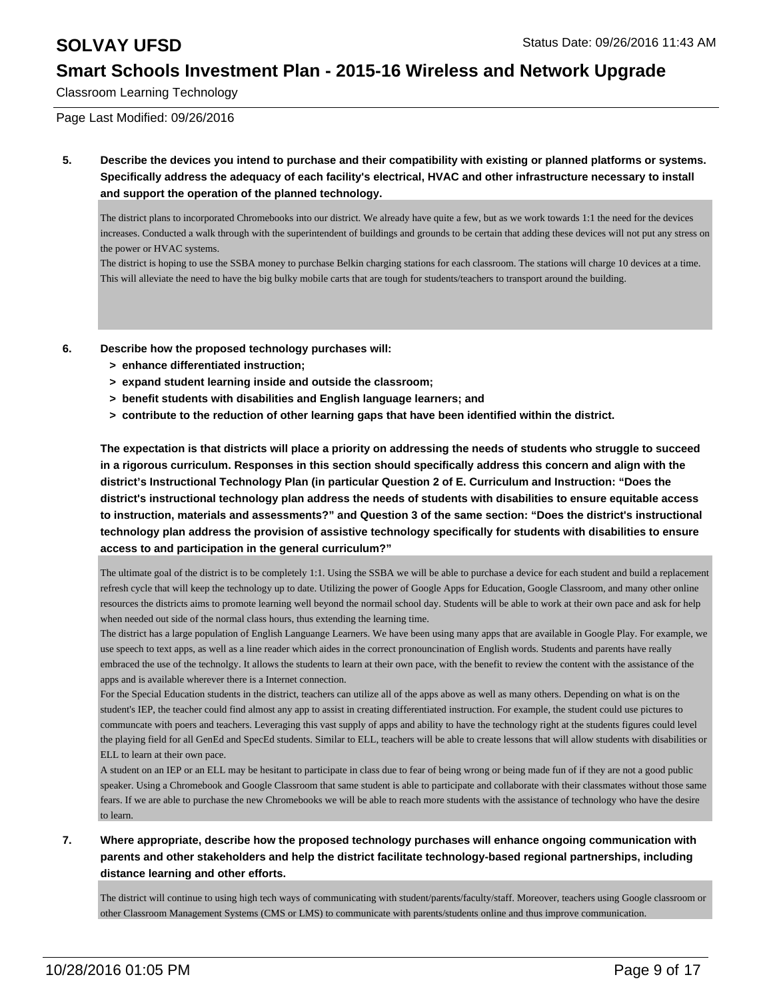Classroom Learning Technology

Page Last Modified: 09/26/2016

**5. Describe the devices you intend to purchase and their compatibility with existing or planned platforms or systems. Specifically address the adequacy of each facility's electrical, HVAC and other infrastructure necessary to install and support the operation of the planned technology.**

The district plans to incorporated Chromebooks into our district. We already have quite a few, but as we work towards 1:1 the need for the devices increases. Conducted a walk through with the superintendent of buildings and grounds to be certain that adding these devices will not put any stress on the power or HVAC systems.

The district is hoping to use the SSBA money to purchase Belkin charging stations for each classroom. The stations will charge 10 devices at a time. This will alleviate the need to have the big bulky mobile carts that are tough for students/teachers to transport around the building.

- **6. Describe how the proposed technology purchases will:**
	- **> enhance differentiated instruction;**
	- **> expand student learning inside and outside the classroom;**
	- **> benefit students with disabilities and English language learners; and**
	- **> contribute to the reduction of other learning gaps that have been identified within the district.**

**The expectation is that districts will place a priority on addressing the needs of students who struggle to succeed in a rigorous curriculum. Responses in this section should specifically address this concern and align with the district's Instructional Technology Plan (in particular Question 2 of E. Curriculum and Instruction: "Does the district's instructional technology plan address the needs of students with disabilities to ensure equitable access to instruction, materials and assessments?" and Question 3 of the same section: "Does the district's instructional technology plan address the provision of assistive technology specifically for students with disabilities to ensure access to and participation in the general curriculum?"**

The ultimate goal of the district is to be completely 1:1. Using the SSBA we will be able to purchase a device for each student and build a replacement refresh cycle that will keep the technology up to date. Utilizing the power of Google Apps for Education, Google Classroom, and many other online resources the districts aims to promote learning well beyond the normail school day. Students will be able to work at their own pace and ask for help when needed out side of the normal class hours, thus extending the learning time.

The district has a large population of English Languange Learners. We have been using many apps that are available in Google Play. For example, we use speech to text apps, as well as a line reader which aides in the correct pronouncination of English words. Students and parents have really embraced the use of the technolgy. It allows the students to learn at their own pace, with the benefit to review the content with the assistance of the apps and is available wherever there is a Internet connection.

For the Special Education students in the district, teachers can utilize all of the apps above as well as many others. Depending on what is on the student's IEP, the teacher could find almost any app to assist in creating differentiated instruction. For example, the student could use pictures to communcate with poers and teachers. Leveraging this vast supply of apps and ability to have the technology right at the students figures could level the playing field for all GenEd and SpecEd students. Similar to ELL, teachers will be able to create lessons that will allow students with disabilities or ELL to learn at their own pace.

A student on an IEP or an ELL may be hesitant to participate in class due to fear of being wrong or being made fun of if they are not a good public speaker. Using a Chromebook and Google Classroom that same student is able to participate and collaborate with their classmates without those same fears. If we are able to purchase the new Chromebooks we will be able to reach more students with the assistance of technology who have the desire to learn.

### **7. Where appropriate, describe how the proposed technology purchases will enhance ongoing communication with parents and other stakeholders and help the district facilitate technology-based regional partnerships, including distance learning and other efforts.**

The district will continue to using high tech ways of communicating with student/parents/faculty/staff. Moreover, teachers using Google classroom or other Classroom Management Systems (CMS or LMS) to communicate with parents/students online and thus improve communication.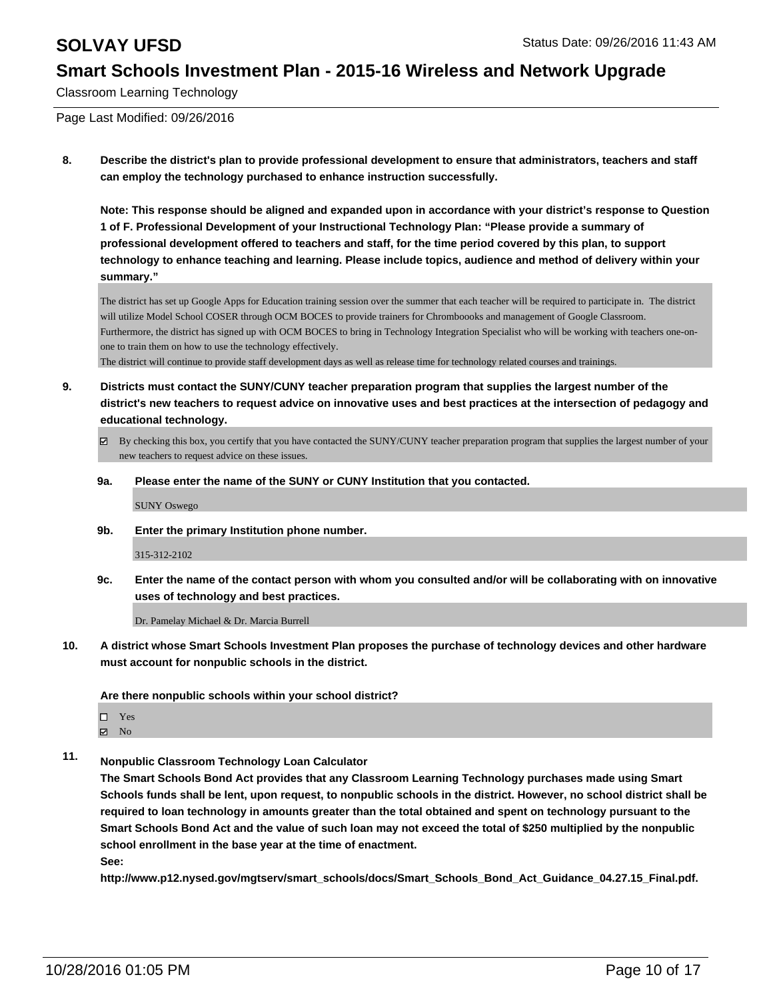Classroom Learning Technology

Page Last Modified: 09/26/2016

**8. Describe the district's plan to provide professional development to ensure that administrators, teachers and staff can employ the technology purchased to enhance instruction successfully.**

**Note: This response should be aligned and expanded upon in accordance with your district's response to Question 1 of F. Professional Development of your Instructional Technology Plan: "Please provide a summary of professional development offered to teachers and staff, for the time period covered by this plan, to support technology to enhance teaching and learning. Please include topics, audience and method of delivery within your summary."**

The district has set up Google Apps for Education training session over the summer that each teacher will be required to participate in. The district will utilize Model School COSER through OCM BOCES to provide trainers for Chromboooks and management of Google Classroom. Furthermore, the district has signed up with OCM BOCES to bring in Technology Integration Specialist who will be working with teachers one-onone to train them on how to use the technology effectively.

The district will continue to provide staff development days as well as release time for technology related courses and trainings.

- **9. Districts must contact the SUNY/CUNY teacher preparation program that supplies the largest number of the district's new teachers to request advice on innovative uses and best practices at the intersection of pedagogy and educational technology.**
	- $\boxtimes$  By checking this box, you certify that you have contacted the SUNY/CUNY teacher preparation program that supplies the largest number of your new teachers to request advice on these issues.
	- **9a. Please enter the name of the SUNY or CUNY Institution that you contacted.**

SUNY Oswego

**9b. Enter the primary Institution phone number.**

315-312-2102

**9c. Enter the name of the contact person with whom you consulted and/or will be collaborating with on innovative uses of technology and best practices.**

Dr. Pamelay Michael & Dr. Marcia Burrell

**10. A district whose Smart Schools Investment Plan proposes the purchase of technology devices and other hardware must account for nonpublic schools in the district.**

**Are there nonpublic schools within your school district?**

□ Yes

 $\boxtimes$  No

**11. Nonpublic Classroom Technology Loan Calculator**

**The Smart Schools Bond Act provides that any Classroom Learning Technology purchases made using Smart Schools funds shall be lent, upon request, to nonpublic schools in the district. However, no school district shall be required to loan technology in amounts greater than the total obtained and spent on technology pursuant to the Smart Schools Bond Act and the value of such loan may not exceed the total of \$250 multiplied by the nonpublic school enrollment in the base year at the time of enactment.**

**See:**

**http://www.p12.nysed.gov/mgtserv/smart\_schools/docs/Smart\_Schools\_Bond\_Act\_Guidance\_04.27.15\_Final.pdf.**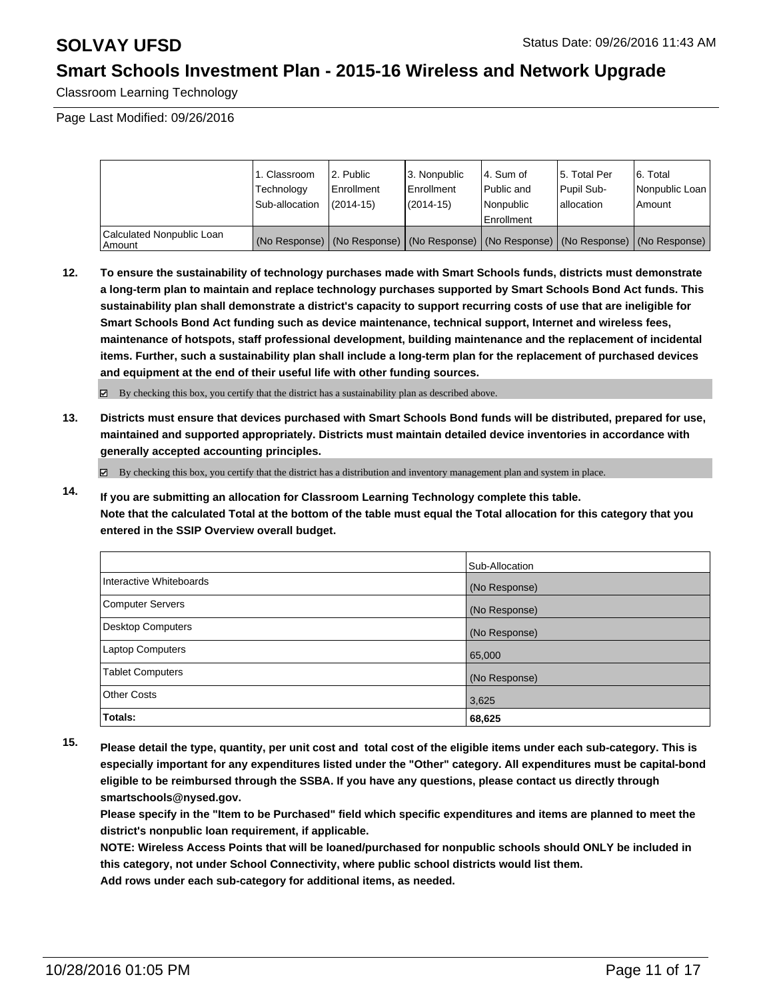Classroom Learning Technology

Page Last Modified: 09/26/2016

|                                     | 1. Classroom<br>Technology<br>Sub-allocation | 2. Public<br>Enrollment<br>$(2014 - 15)$ | 13. Nonpublic<br>l Enrollment<br>$(2014 - 15)$ | l 4. Sum of<br>Public and<br>l Nonpublic<br><b>Enrollment</b>                                 | 15. Total Per<br><b>Pupil Sub-</b><br>lallocation | 6. Total<br>Nonpublic Loan  <br>Amount |
|-------------------------------------|----------------------------------------------|------------------------------------------|------------------------------------------------|-----------------------------------------------------------------------------------------------|---------------------------------------------------|----------------------------------------|
| Calculated Nonpublic Loan<br>Amount |                                              |                                          |                                                | (No Response)   (No Response)   (No Response)   (No Response)   (No Response)   (No Response) |                                                   |                                        |

**12. To ensure the sustainability of technology purchases made with Smart Schools funds, districts must demonstrate a long-term plan to maintain and replace technology purchases supported by Smart Schools Bond Act funds. This sustainability plan shall demonstrate a district's capacity to support recurring costs of use that are ineligible for Smart Schools Bond Act funding such as device maintenance, technical support, Internet and wireless fees, maintenance of hotspots, staff professional development, building maintenance and the replacement of incidental items. Further, such a sustainability plan shall include a long-term plan for the replacement of purchased devices and equipment at the end of their useful life with other funding sources.**

 $\boxtimes$  By checking this box, you certify that the district has a sustainability plan as described above.

**13. Districts must ensure that devices purchased with Smart Schools Bond funds will be distributed, prepared for use, maintained and supported appropriately. Districts must maintain detailed device inventories in accordance with generally accepted accounting principles.**

By checking this box, you certify that the district has a distribution and inventory management plan and system in place.

**14. If you are submitting an allocation for Classroom Learning Technology complete this table. Note that the calculated Total at the bottom of the table must equal the Total allocation for this category that you entered in the SSIP Overview overall budget.**

|                         | Sub-Allocation |
|-------------------------|----------------|
| Interactive Whiteboards | (No Response)  |
| Computer Servers        | (No Response)  |
| Desktop Computers       | (No Response)  |
| <b>Laptop Computers</b> | 65,000         |
| <b>Tablet Computers</b> | (No Response)  |
| Other Costs             | 3,625          |
| Totals:                 | 68,625         |

**15. Please detail the type, quantity, per unit cost and total cost of the eligible items under each sub-category. This is especially important for any expenditures listed under the "Other" category. All expenditures must be capital-bond eligible to be reimbursed through the SSBA. If you have any questions, please contact us directly through smartschools@nysed.gov.**

**Please specify in the "Item to be Purchased" field which specific expenditures and items are planned to meet the district's nonpublic loan requirement, if applicable.**

**NOTE: Wireless Access Points that will be loaned/purchased for nonpublic schools should ONLY be included in this category, not under School Connectivity, where public school districts would list them. Add rows under each sub-category for additional items, as needed.**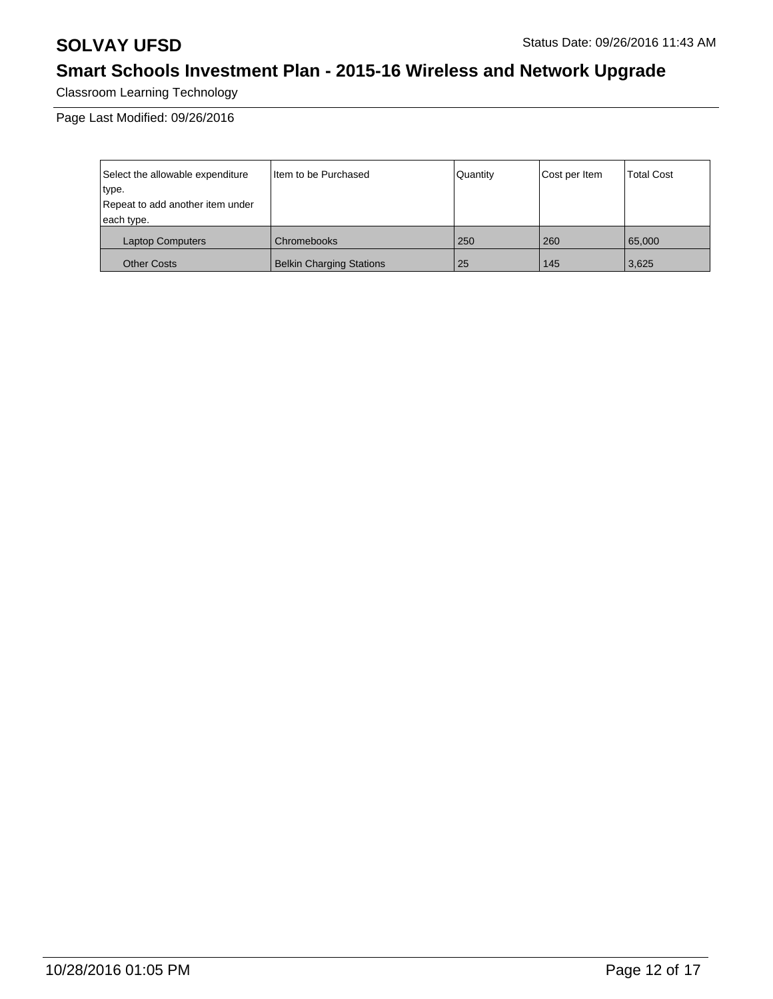Classroom Learning Technology

Page Last Modified: 09/26/2016

| Select the allowable expenditure<br>type.<br>Repeat to add another item under<br>each type. | Iltem to be Purchased           | Quantity | Cost per Item | <b>Total Cost</b> |
|---------------------------------------------------------------------------------------------|---------------------------------|----------|---------------|-------------------|
| <b>Laptop Computers</b>                                                                     | Chromebooks                     | 250      | 260           | 65,000            |
| <b>Other Costs</b>                                                                          | <b>Belkin Charging Stations</b> | 25       | 145           | 3,625             |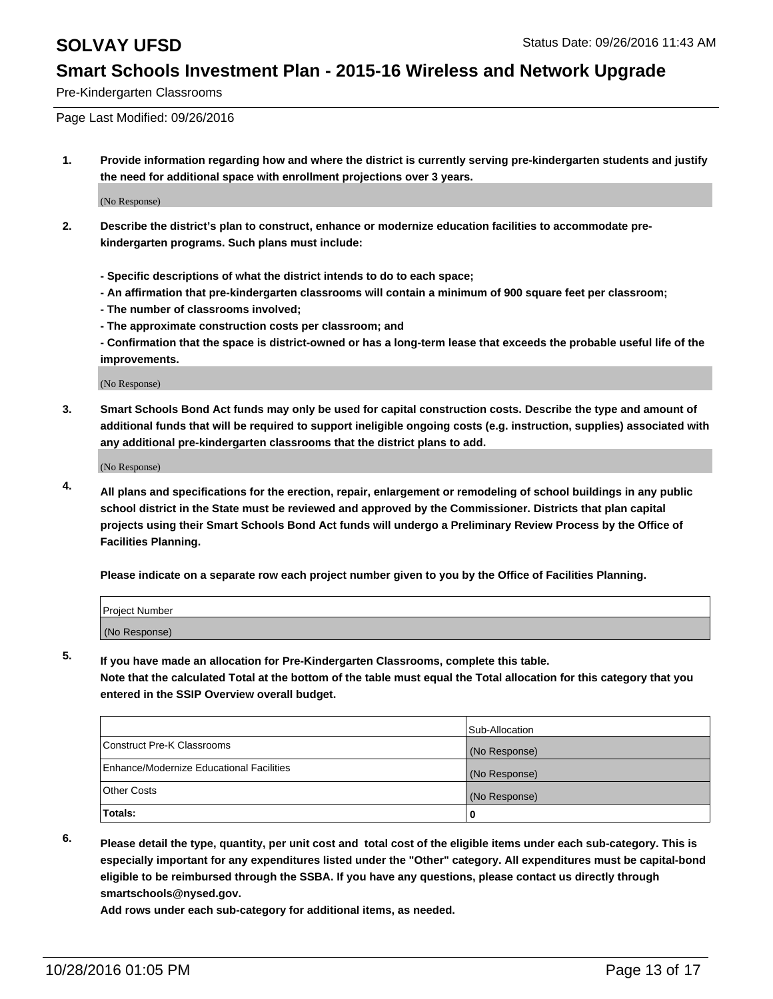Pre-Kindergarten Classrooms

Page Last Modified: 09/26/2016

**1. Provide information regarding how and where the district is currently serving pre-kindergarten students and justify the need for additional space with enrollment projections over 3 years.**

(No Response)

- **2. Describe the district's plan to construct, enhance or modernize education facilities to accommodate prekindergarten programs. Such plans must include:**
	- **Specific descriptions of what the district intends to do to each space;**
	- **An affirmation that pre-kindergarten classrooms will contain a minimum of 900 square feet per classroom;**
	- **The number of classrooms involved;**
	- **The approximate construction costs per classroom; and**
	- **Confirmation that the space is district-owned or has a long-term lease that exceeds the probable useful life of the improvements.**

(No Response)

**3. Smart Schools Bond Act funds may only be used for capital construction costs. Describe the type and amount of additional funds that will be required to support ineligible ongoing costs (e.g. instruction, supplies) associated with any additional pre-kindergarten classrooms that the district plans to add.**

(No Response)

**4. All plans and specifications for the erection, repair, enlargement or remodeling of school buildings in any public school district in the State must be reviewed and approved by the Commissioner. Districts that plan capital projects using their Smart Schools Bond Act funds will undergo a Preliminary Review Process by the Office of Facilities Planning.**

**Please indicate on a separate row each project number given to you by the Office of Facilities Planning.**

| Project Number |  |
|----------------|--|
| (No Response)  |  |

**5. If you have made an allocation for Pre-Kindergarten Classrooms, complete this table.**

**Note that the calculated Total at the bottom of the table must equal the Total allocation for this category that you entered in the SSIP Overview overall budget.**

|                                          | Sub-Allocation |
|------------------------------------------|----------------|
| Construct Pre-K Classrooms               | (No Response)  |
| Enhance/Modernize Educational Facilities | (No Response)  |
| Other Costs                              | (No Response)  |
| Totals:                                  |                |

**6. Please detail the type, quantity, per unit cost and total cost of the eligible items under each sub-category. This is especially important for any expenditures listed under the "Other" category. All expenditures must be capital-bond eligible to be reimbursed through the SSBA. If you have any questions, please contact us directly through smartschools@nysed.gov.**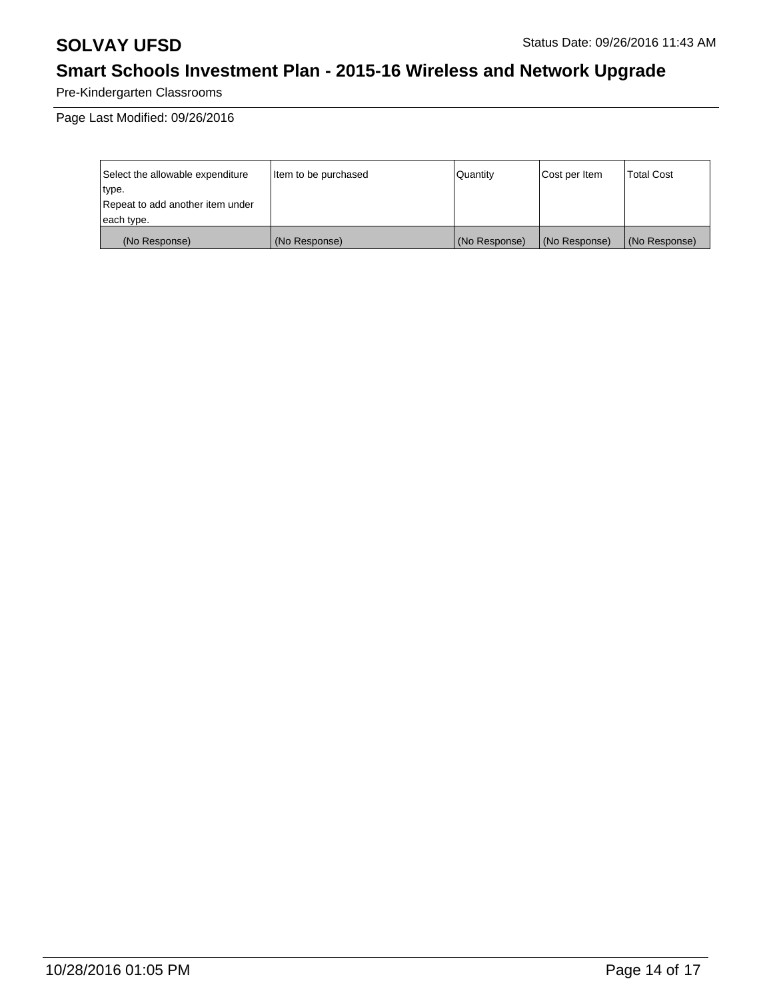Pre-Kindergarten Classrooms

Page Last Modified: 09/26/2016

| Select the allowable expenditure | litem to be purchased | Quantity      | Cost per Item | <b>Total Cost</b> |
|----------------------------------|-----------------------|---------------|---------------|-------------------|
| type.                            |                       |               |               |                   |
| Repeat to add another item under |                       |               |               |                   |
| each type.                       |                       |               |               |                   |
| (No Response)                    | (No Response)         | (No Response) | (No Response) | (No Response)     |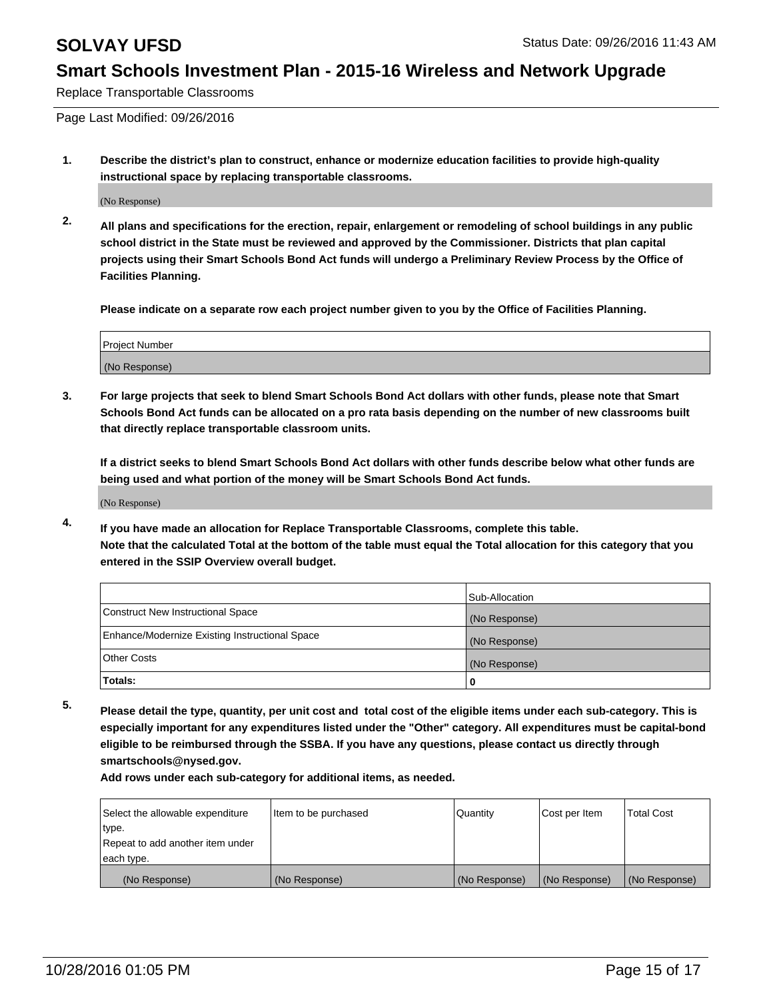Replace Transportable Classrooms

Page Last Modified: 09/26/2016

**1. Describe the district's plan to construct, enhance or modernize education facilities to provide high-quality instructional space by replacing transportable classrooms.**

(No Response)

**2. All plans and specifications for the erection, repair, enlargement or remodeling of school buildings in any public school district in the State must be reviewed and approved by the Commissioner. Districts that plan capital projects using their Smart Schools Bond Act funds will undergo a Preliminary Review Process by the Office of Facilities Planning.**

**Please indicate on a separate row each project number given to you by the Office of Facilities Planning.**

| Project Number |  |
|----------------|--|
| (No Response)  |  |

**3. For large projects that seek to blend Smart Schools Bond Act dollars with other funds, please note that Smart Schools Bond Act funds can be allocated on a pro rata basis depending on the number of new classrooms built that directly replace transportable classroom units.**

**If a district seeks to blend Smart Schools Bond Act dollars with other funds describe below what other funds are being used and what portion of the money will be Smart Schools Bond Act funds.**

(No Response)

**4. If you have made an allocation for Replace Transportable Classrooms, complete this table. Note that the calculated Total at the bottom of the table must equal the Total allocation for this category that you entered in the SSIP Overview overall budget.**

|                                                | Sub-Allocation |
|------------------------------------------------|----------------|
| Construct New Instructional Space              | (No Response)  |
| Enhance/Modernize Existing Instructional Space | (No Response)  |
| Other Costs                                    | (No Response)  |
| Totals:                                        | 0              |

**5. Please detail the type, quantity, per unit cost and total cost of the eligible items under each sub-category. This is especially important for any expenditures listed under the "Other" category. All expenditures must be capital-bond eligible to be reimbursed through the SSBA. If you have any questions, please contact us directly through smartschools@nysed.gov.**

| Select the allowable expenditure | Item to be purchased | Quantity      | Cost per Item | Total Cost    |
|----------------------------------|----------------------|---------------|---------------|---------------|
| type.                            |                      |               |               |               |
| Repeat to add another item under |                      |               |               |               |
| each type.                       |                      |               |               |               |
| (No Response)                    | (No Response)        | (No Response) | (No Response) | (No Response) |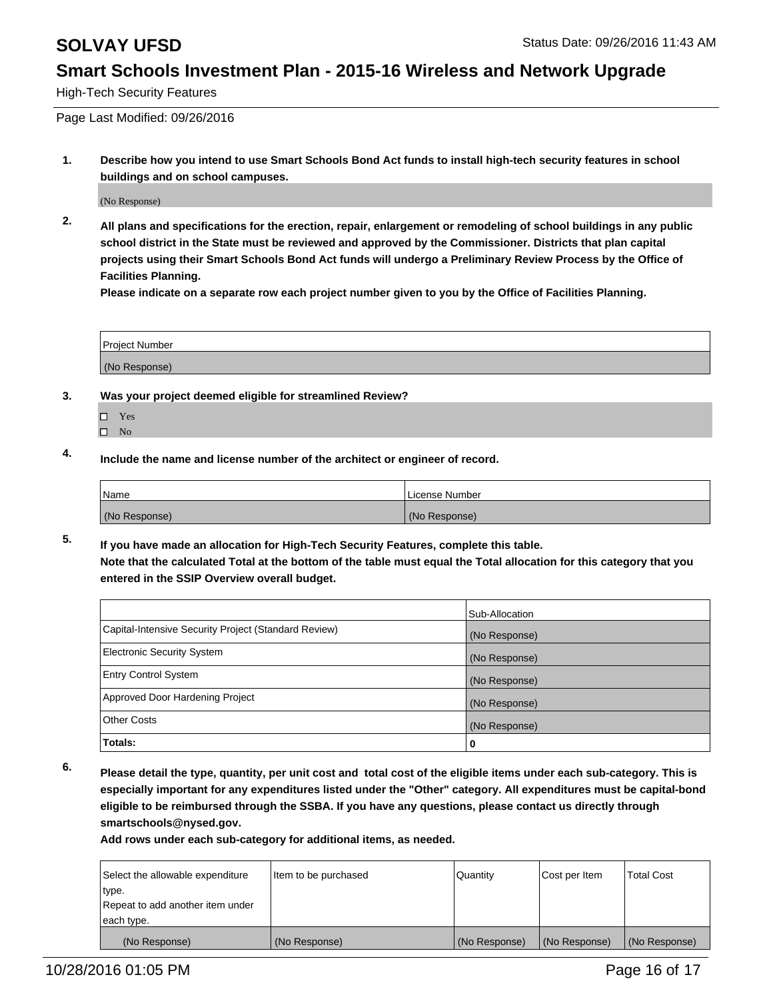High-Tech Security Features

Page Last Modified: 09/26/2016

**1. Describe how you intend to use Smart Schools Bond Act funds to install high-tech security features in school buildings and on school campuses.**

(No Response)

**2. All plans and specifications for the erection, repair, enlargement or remodeling of school buildings in any public school district in the State must be reviewed and approved by the Commissioner. Districts that plan capital projects using their Smart Schools Bond Act funds will undergo a Preliminary Review Process by the Office of Facilities Planning.** 

**Please indicate on a separate row each project number given to you by the Office of Facilities Planning.**

| <b>Project Number</b> |  |
|-----------------------|--|
| (No Response)         |  |

- **3. Was your project deemed eligible for streamlined Review?**
	- Yes
	- $\square$  No
- **4. Include the name and license number of the architect or engineer of record.**

| Name          | License Number |
|---------------|----------------|
| (No Response) | (No Response)  |

**5. If you have made an allocation for High-Tech Security Features, complete this table. Note that the calculated Total at the bottom of the table must equal the Total allocation for this category that you entered in the SSIP Overview overall budget.**

|                                                      | Sub-Allocation |
|------------------------------------------------------|----------------|
| Capital-Intensive Security Project (Standard Review) | (No Response)  |
| <b>Electronic Security System</b>                    | (No Response)  |
| <b>Entry Control System</b>                          | (No Response)  |
| Approved Door Hardening Project                      | (No Response)  |
| <b>Other Costs</b>                                   | (No Response)  |
| Totals:                                              | 0              |

**6. Please detail the type, quantity, per unit cost and total cost of the eligible items under each sub-category. This is especially important for any expenditures listed under the "Other" category. All expenditures must be capital-bond eligible to be reimbursed through the SSBA. If you have any questions, please contact us directly through smartschools@nysed.gov.**

| Select the allowable expenditure | Item to be purchased | Quantity      | Cost per Item | <b>Total Cost</b> |
|----------------------------------|----------------------|---------------|---------------|-------------------|
| type.                            |                      |               |               |                   |
| Repeat to add another item under |                      |               |               |                   |
| each type.                       |                      |               |               |                   |
| (No Response)                    | (No Response)        | (No Response) | (No Response) | (No Response)     |